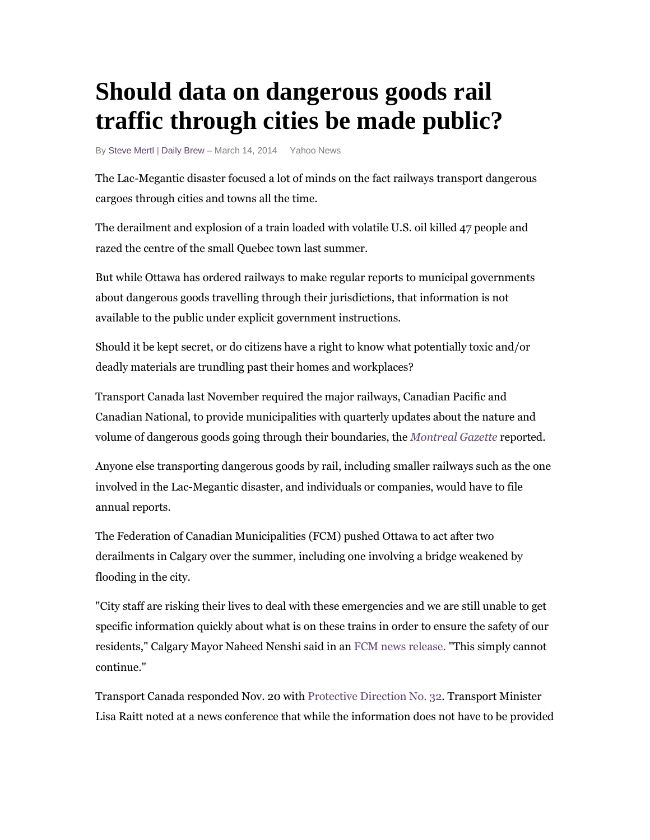## **Should data on dangerous goods rail traffic through cities be made public?**

By Steve Mertl | Daily Brew - March 14, 2014 Yahoo News

The Lac-Megantic disaster focused a lot of minds on the fact railways transport dangerous cargoes through cities and towns all the time.

The derailment and explosion of a train loaded with volatile U.S. oil killed 47 people and razed the centre of the small Quebec town last summer.

But while Ottawa has ordered railways to make regular reports to municipal governments about dangerous goods travelling through their jurisdictions, that information is not available to the public under explicit government instructions.

Should it be kept secret, or do citizens have a right to know what potentially toxic and/or deadly materials are trundling past their homes and workplaces?

Transport Canada last November required the major railways, Canadian Pacific and Canadian National, to provide municipalities with quarterly updates about the nature and volume of dangerous goods going through their boundaries, the *Montreal Gazette* reported.

Anyone else transporting dangerous goods by rail, including smaller railways such as the one involved in the Lac-Megantic disaster, and individuals or companies, would have to file annual reports.

The Federation of Canadian Municipalities (FCM) pushed Ottawa to act after two derailments in Calgary over the summer, including one involving a bridge weakened by flooding in the city.

"City staff are risking their lives to deal with these emergencies and we are still unable to get specific information quickly about what is on these trains in order to ensure the safety of our residents," Calgary Mayor Naheed Nenshi said in an FCM news release. "This simply cannot continue."

Transport Canada responded Nov. 20 with Protective Direction No. 32. Transport Minister Lisa Raitt noted at a news conference that while the information does not have to be provided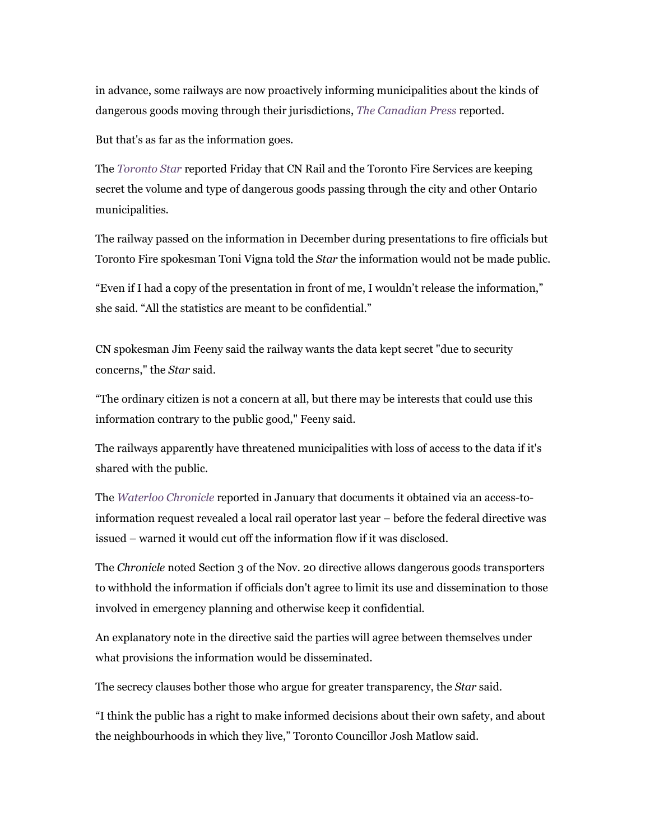in advance, some railways are now proactively informing municipalities about the kinds of dangerous goods moving through their jurisdictions, *The Canadian Press* reported.

But that's as far as the information goes.

The *Toronto Star* reported Friday that CN Rail and the Toronto Fire Services are keeping secret the volume and type of dangerous goods passing through the city and other Ontario municipalities.

The railway passed on the information in December during presentations to fire officials but Toronto Fire spokesman Toni Vigna told the *Star* the information would not be made public.

"Even if I had a copy of the presentation in front of me, I wouldn't release the information," she said. "All the statistics are meant to be confidential."

CN spokesman Jim Feeny said the railway wants the data kept secret "due to security concerns," the *Star* said.

"The ordinary citizen is not a concern at all, but there may be interests that could use this information contrary to the public good," Feeny said.

The railways apparently have threatened municipalities with loss of access to the data if it's shared with the public.

The *Waterloo Chronicle* reported in January that documents it obtained via an access-toinformation request revealed a local rail operator last year – before the federal directive was issued – warned it would cut off the information flow if it was disclosed.

The *Chronicle* noted Section 3 of the Nov. 20 directive allows dangerous goods transporters to withhold the information if officials don't agree to limit its use and dissemination to those involved in emergency planning and otherwise keep it confidential.

An explanatory note in the directive said the parties will agree between themselves under what provisions the information would be disseminated.

The secrecy clauses bother those who argue for greater transparency, the *Star* said.

"I think the public has a right to make informed decisions about their own safety, and about the neighbourhoods in which they live," Toronto Councillor Josh Matlow said.